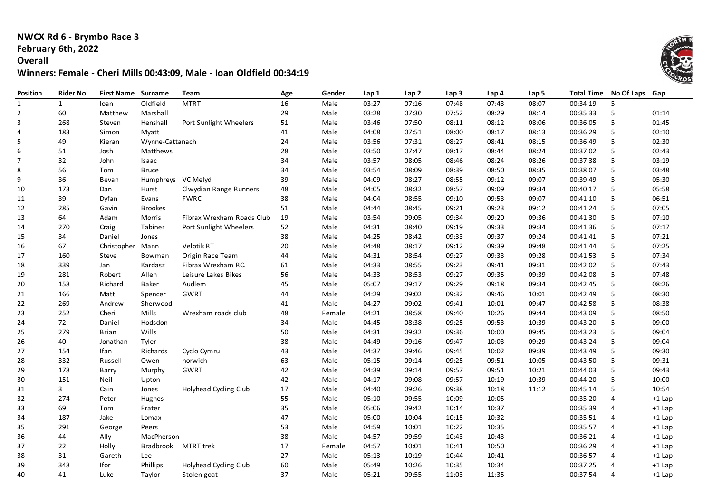### **NWCX Rd 6 - Brymbo Race 3 February 6th, 2022**

#### **Overall**

# **Winners: Female - Cheri Mills 00:43:09, Male - Ioan Oldfield 00:34:19**

| Position       | <b>Rider No</b> | <b>First Name Surname</b> |                    | Team                      | Age | Gender | Lap 1 | Lap 2 | Lap <sub>3</sub> | Lap 4 | Lap <sub>5</sub> | <b>Total Time</b> | No Of Laps | Gap      |
|----------------|-----------------|---------------------------|--------------------|---------------------------|-----|--------|-------|-------|------------------|-------|------------------|-------------------|------------|----------|
| $\mathbf{1}$   | $\mathbf{1}$    | loan                      | Oldfield           | <b>MTRT</b>               | 16  | Male   | 03:27 | 07:16 | 07:48            | 07:43 | 08:07            | 00:34:19          | 5          |          |
| $\mathbf 2$    | 60              | Matthew                   | Marshall           |                           | 29  | Male   | 03:28 | 07:30 | 07:52            | 08:29 | 08:14            | 00:35:33          | 5          | 01:14    |
| 3              | 268             | Steven                    | Henshall           | Port Sunlight Wheelers    | 51  | Male   | 03:46 | 07:50 | 08:11            | 08:12 | 08:06            | 00:36:05          | 5          | 01:45    |
| 4              | 183             | Simon                     | Myatt              |                           | 41  | Male   | 04:08 | 07:51 | 08:00            | 08:17 | 08:13            | 00:36:29          | 5          | 02:10    |
| 5              | 49              | Kieran                    | Wynne-Cattanach    |                           | 24  | Male   | 03:56 | 07:31 | 08:27            | 08:41 | 08:15            | 00:36:49          | 5          | 02:30    |
| 6              | 51              | Josh                      | Matthews           |                           | 28  | Male   | 03:50 | 07:47 | 08:17            | 08:44 | 08:24            | 00:37:02          | 5          | 02:43    |
| $\overline{7}$ | 32              | John                      | Isaac              |                           | 34  | Male   | 03:57 | 08:05 | 08:46            | 08:24 | 08:26            | 00:37:38          | 5          | 03:19    |
| 8              | 56              | Tom                       | <b>Bruce</b>       |                           | 34  | Male   | 03:54 | 08:09 | 08:39            | 08:50 | 08:35            | 00:38:07          | 5          | 03:48    |
| 9              | 36              | Bevan                     | Humphreys VC Melyd |                           | 39  | Male   | 04:09 | 08:27 | 08:55            | 09:12 | 09:07            | 00:39:49          | 5          | 05:30    |
| 10             | 173             | Dan                       | Hurst              | Clwydian Range Runners    | 48  | Male   | 04:05 | 08:32 | 08:57            | 09:09 | 09:34            | 00:40:17          | 5          | 05:58    |
| 11             | 39              | Dyfan                     | Evans              | <b>FWRC</b>               | 38  | Male   | 04:04 | 08:55 | 09:10            | 09:53 | 09:07            | 00:41:10          | 5          | 06:51    |
| 12             | 285             | Gavin                     | <b>Brookes</b>     |                           | 51  | Male   | 04:44 | 08:45 | 09:21            | 09:23 | 09:12            | 00:41:24          | 5          | 07:05    |
| 13             | 64              | Adam                      | Morris             | Fibrax Wrexham Roads Club | 19  | Male   | 03:54 | 09:05 | 09:34            | 09:20 | 09:36            | 00:41:30          | 5          | 07:10    |
| 14             | 270             | Craig                     | Tabiner            | Port Sunlight Wheelers    | 52  | Male   | 04:31 | 08:40 | 09:19            | 09:33 | 09:34            | 00:41:36          | 5          | 07:17    |
| 15             | 34              | Daniel                    | Jones              |                           | 38  | Male   | 04:25 | 08:42 | 09:33            | 09:37 | 09:24            | 00:41:41          | 5          | 07:21    |
| 16             | 67              | Christopher Mann          |                    | Velotik RT                | 20  | Male   | 04:48 | 08:17 | 09:12            | 09:39 | 09:48            | 00:41:44          | 5          | 07:25    |
| 17             | 160             | Steve                     | Bowman             | Origin Race Team          | 44  | Male   | 04:31 | 08:54 | 09:27            | 09:33 | 09:28            | 00:41:53          | 5          | 07:34    |
| 18             | 339             | Jan                       | Kardasz            | Fibrax Wrexham RC.        | 61  | Male   | 04:33 | 08:55 | 09:23            | 09:41 | 09:31            | 00:42:02          | 5          | 07:43    |
| 19             | 281             | Robert                    | Allen              | Leisure Lakes Bikes       | 56  | Male   | 04:33 | 08:53 | 09:27            | 09:35 | 09:39            | 00:42:08          | 5          | 07:48    |
| 20             | 158             | Richard                   | Baker              | Audlem                    | 45  | Male   | 05:07 | 09:17 | 09:29            | 09:18 | 09:34            | 00:42:45          | 5          | 08:26    |
| 21             | 166             | Matt                      | Spencer            | GWRT                      | 44  | Male   | 04:29 | 09:02 | 09:32            | 09:46 | 10:01            | 00:42:49          | 5          | 08:30    |
| 22             | 269             | Andrew                    | Sherwood           |                           | 41  | Male   | 04:27 | 09:02 | 09:41            | 10:01 | 09:47            | 00:42:58          | 5          | 08:38    |
| 23             | 252             | Cheri                     | Mills              | Wrexham roads club        | 48  | Female | 04:21 | 08:58 | 09:40            | 10:26 | 09:44            | 00:43:09          | 5          | 08:50    |
| 24             | 72              | Daniel                    | Hodsdon            |                           | 34  | Male   | 04:45 | 08:38 | 09:25            | 09:53 | 10:39            | 00:43:20          | 5          | 09:00    |
| 25             | 279             | <b>Brian</b>              | Wills              |                           | 50  | Male   | 04:31 | 09:32 | 09:36            | 10:00 | 09:45            | 00:43:23          | 5          | 09:04    |
| 26             | 40              | Jonathan                  | Tyler              |                           | 38  | Male   | 04:49 | 09:16 | 09:47            | 10:03 | 09:29            | 00:43:24          | 5          | 09:04    |
| 27             | 154             | lfan                      | Richards           | Cyclo Cymru               | 43  | Male   | 04:37 | 09:46 | 09:45            | 10:02 | 09:39            | 00:43:49          | 5          | 09:30    |
| 28             | 332             | Russell                   | Owen               | horwich                   | 63  | Male   | 05:15 | 09:14 | 09:25            | 09:51 | 10:05            | 00:43:50          | 5          | 09:31    |
| 29             | 178             | Barry                     | Murphy             | GWRT                      | 42  | Male   | 04:39 | 09:14 | 09:57            | 09:51 | 10:21            | 00:44:03          | 5          | 09:43    |
| 30             | 151             | Neil                      | Upton              |                           | 42  | Male   | 04:17 | 09:08 | 09:57            | 10:19 | 10:39            | 00:44:20          | 5          | 10:00    |
| 31             | 3               | Cain                      | Jones              | Holyhead Cycling Club     | 17  | Male   | 04:40 | 09:26 | 09:38            | 10:18 | 11:12            | 00:45:14          | 5          | 10:54    |
| 32             | 274             | Peter                     | Hughes             |                           | 55  | Male   | 05:10 | 09:55 | 10:09            | 10:05 |                  | 00:35:20          | 4          | $+1$ Lap |
| 33             | 69              | Tom                       | Frater             |                           | 35  | Male   | 05:06 | 09:42 | 10:14            | 10:37 |                  | 00:35:39          | 4          | $+1$ Lap |
| 34             | 187             | Jake                      | Lomax              |                           | 47  | Male   | 05:00 | 10:04 | 10:15            | 10:32 |                  | 00:35:51          | 4          | $+1$ Lap |
| 35             | 291             | George                    | Peers              |                           | 53  | Male   | 04:59 | 10:01 | 10:22            | 10:35 |                  | 00:35:57          | 4          | $+1$ Lap |
| 36             | 44              | Ally                      | MacPherson         |                           | 38  | Male   | 04:57 | 09:59 | 10:43            | 10:43 |                  | 00:36:21          | 4          | $+1$ Lap |
| 37             | 22              | Holly                     | <b>Bradbrook</b>   | <b>MTRT</b> trek          | 17  | Female | 04:57 | 10:01 | 10:41            | 10:50 |                  | 00:36:29          | 4          | $+1$ Lap |
| 38             | 31              | Gareth                    | Lee                |                           | 27  | Male   | 05:13 | 10:19 | 10:44            | 10:41 |                  | 00:36:57          | 4          | $+1$ Lap |
| 39             | 348             | Ifor                      | Phillips           | Holyhead Cycling Club     | 60  | Male   | 05:49 | 10:26 | 10:35            | 10:34 |                  | 00:37:25          | 4          | $+1$ Lap |
| 40             | 41              | Luke                      | Taylor             | Stolen goat               | 37  | Male   | 05:21 | 09:55 | 11:03            | 11:35 |                  | 00:37:54          | 4          | $+1$ Lap |

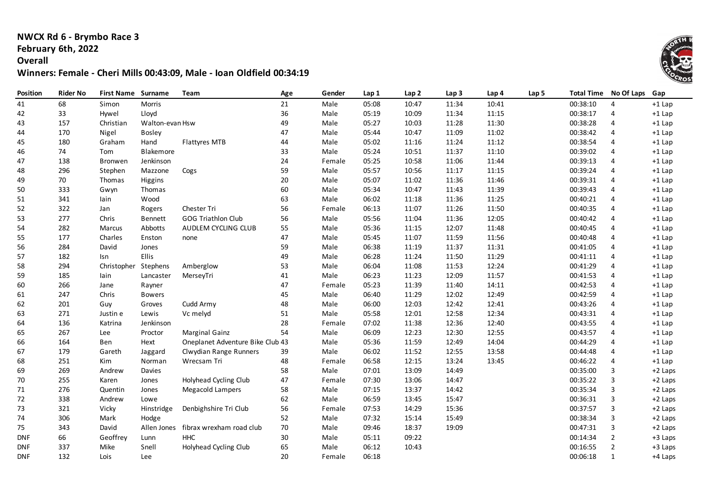# **NWCX Rd 6 - Brymbo Race 3 February 6th, 2022**

### **Overall**

# **Winners: Female - Cheri Mills 00:43:09, Male - Ioan Oldfield 00:34:19**

| Position   | <b>Rider No</b> | <b>First Name Surname</b> |                 | Team                             | Age | Gender | Lap 1 | Lap <sub>2</sub> | Lap <sub>3</sub> | Lap 4 | Lap <sub>5</sub> | <b>Total Time</b> | No Of Laps     | Gap       |
|------------|-----------------|---------------------------|-----------------|----------------------------------|-----|--------|-------|------------------|------------------|-------|------------------|-------------------|----------------|-----------|
| 41         | 68              | Simon                     | Morris          |                                  | 21  | Male   | 05:08 | 10:47            | 11:34            | 10:41 |                  | 00:38:10          | 4              | $+1$ Lap  |
| 42         | 33              | Hywel                     | Lloyd           |                                  | 36  | Male   | 05:19 | 10:09            | 11:34            | 11:15 |                  | 00:38:17          | 4              | $+1$ Lap  |
| 43         | 157             | Christian                 | Walton-evan Hsw |                                  | 49  | Male   | 05:27 | 10:03            | 11:28            | 11:30 |                  | 00:38:28          | 4              | $+1$ Lap  |
| 44         | 170             | Nigel                     | <b>Bosley</b>   |                                  | 47  | Male   | 05:44 | 10:47            | 11:09            | 11:02 |                  | 00:38:42          | 4              | $+1$ Lap  |
| 45         | 180             | Graham                    | Hand            | Flattyres MTB                    | 44  | Male   | 05:02 | 11:16            | 11:24            | 11:12 |                  | 00:38:54          | 4              | $+1$ Lap  |
| 46         | 74              | Tom                       | Blakemore       |                                  | 33  | Male   | 05:24 | 10:51            | 11:37            | 11:10 |                  | 00:39:02          | 4              | $+1$ Lap  |
| 47         | 138             | <b>Bronwen</b>            | Jenkinson       |                                  | 24  | Female | 05:25 | 10:58            | 11:06            | 11:44 |                  | 00:39:13          | 4              | $+1$ Lap  |
| 48         | 296             | Stephen                   | Mazzone         | Cogs                             | 59  | Male   | 05:57 | 10:56            | 11:17            | 11:15 |                  | 00:39:24          | 4              | $+1$ Lap  |
| 49         | 70              | Thomas                    | Higgins         |                                  | 20  | Male   | 05:07 | 11:02            | 11:36            | 11:46 |                  | 00:39:31          | 4              | $+1$ Lap  |
| 50         | 333             | Gwyn                      | Thomas          |                                  | 60  | Male   | 05:34 | 10:47            | 11:43            | 11:39 |                  | 00:39:43          | 4              | $+1$ Lap  |
| 51         | 341             | lain                      | Wood            |                                  | 63  | Male   | 06:02 | 11:18            | 11:36            | 11:25 |                  | 00:40:21          | 4              | $+1$ Lap  |
| 52         | 322             | Jan                       | Rogers          | Chester Tri                      | 56  | Female | 06:13 | 11:07            | 11:26            | 11:50 |                  | 00:40:35          | 4              | $+1$ Lap  |
| 53         | 277             | Chris                     | <b>Bennett</b>  | GOG Triathlon Club               | 56  | Male   | 05:56 | 11:04            | 11:36            | 12:05 |                  | 00:40:42          | 4              | $+1$ Lap  |
| 54         | 282             | Marcus                    | Abbotts         | AUDLEM CYCLING CLUB              | 55  | Male   | 05:36 | 11:15            | 12:07            | 11:48 |                  | 00:40:45          | 4              | $+1$ Lap  |
| 55         | 177             | Charles                   | Enston          | none                             | 47  | Male   | 05:45 | 11:07            | 11:59            | 11:56 |                  | 00:40:48          | 4              | $+1$ Lap  |
| 56         | 284             | David                     | Jones           |                                  | 59  | Male   | 06:38 | 11:19            | 11:37            | 11:31 |                  | 00:41:05          | 4              | $+1$ Lap  |
| 57         | 182             | Isn                       | Ellis           |                                  | 49  | Male   | 06:28 | 11:24            | 11:50            | 11:29 |                  | 00:41:11          | 4              | $+1$ Lap  |
| 58         | 294             | Christopher               | Stephens        | Amberglow                        | 53  | Male   | 06:04 | 11:08            | 11:53            | 12:24 |                  | 00:41:29          | 4              | $+1$ Lap  |
| 59         | 185             | lain                      | Lancaster       | MerseyTri                        | 41  | Male   | 06:23 | 11:23            | 12:09            | 11:57 |                  | 00:41:53          | 4              | $+1$ Lap  |
| 60         | 266             | Jane                      | Rayner          |                                  | 47  | Female | 05:23 | 11:39            | 11:40            | 14:11 |                  | 00:42:53          | 4              | $+1$ Lap  |
| 61         | 247             | Chris                     | <b>Bowers</b>   |                                  | 45  | Male   | 06:40 | 11:29            | 12:02            | 12:49 |                  | 00:42:59          | 4              | $+1$ Lap  |
| 62         | 201             | Guy                       | Groves          | Cudd Army                        | 48  | Male   | 06:00 | 12:03            | 12:42            | 12:41 |                  | 00:43:26          | 4              | $+1$ Lap  |
| 63         | 271             | Justin e                  | Lewis           | Vc melyd                         | 51  | Male   | 05:58 | 12:01            | 12:58            | 12:34 |                  | 00:43:31          | 4              | $+1$ Lap  |
| 64         | 136             | Katrina                   | Jenkinson       |                                  | 28  | Female | 07:02 | 11:38            | 12:36            | 12:40 |                  | 00:43:55          | 4              | $+1$ Lap  |
| 65         | 267             | Lee                       | Proctor         | <b>Marginal Gainz</b>            | 54  | Male   | 06:09 | 12:23            | 12:30            | 12:55 |                  | 00:43:57          | 4              | $+1$ Lap  |
| 66         | 164             | Ben                       | Hext            | Oneplanet Adventure Bike Club 43 |     | Male   | 05:36 | 11:59            | 12:49            | 14:04 |                  | 00:44:29          | 4              | $+1$ Lap  |
| 67         | 179             | Gareth                    | Jaggard         | Clwydian Range Runners           | 39  | Male   | 06:02 | 11:52            | 12:55            | 13:58 |                  | 00:44:48          | 4              | $+1$ Lap  |
| 68         | 251             | Kim                       | Norman          | Wrecsam Tri                      | 48  | Female | 06:58 | 12:15            | 13:24            | 13:45 |                  | 00:46:22          | 4              | $+1$ Lap  |
| 69         | 269             | Andrew                    | Davies          |                                  | 58  | Male   | 07:01 | 13:09            | 14:49            |       |                  | 00:35:00          | 3              | +2 Laps   |
| 70         | 255             | Karen                     | Jones           | Holyhead Cycling Club            | 47  | Female | 07:30 | 13:06            | 14:47            |       |                  | 00:35:22          | 3              | +2 Laps   |
| 71         | 276             | Quentin                   | Jones           | <b>Megacold Lampers</b>          | 58  | Male   | 07:15 | 13:37            | 14:42            |       |                  | 00:35:34          | 3              | +2 Laps   |
| 72         | 338             | Andrew                    | Lowe            |                                  | 62  | Male   | 06:59 | 13:45            | 15:47            |       |                  | 00:36:31          | 3              | +2 Laps   |
| 73         | 321             | Vicky                     | Hinstridge      | Denbighshire Tri Club            | 56  | Female | 07:53 | 14:29            | 15:36            |       |                  | 00:37:57          | $\overline{3}$ | +2 Laps   |
| 74         | 306             | Mark                      | Hodge           |                                  | 52  | Male   | 07:32 | 15:14            | 15:49            |       |                  | 00:38:34          | 3              | +2 Laps   |
| 75         | 343             | David                     | Allen Jones     | fibrax wrexham road club         | 70  | Male   | 09:46 | 18:37            | 19:09            |       |                  | 00:47:31          | 3              | $+2$ Laps |
| <b>DNF</b> | 66              | Geoffrey                  | Lunn            | <b>HHC</b>                       | 30  | Male   | 05:11 | 09:22            |                  |       |                  | 00:14:34          | 2              | +3 Laps   |
| <b>DNF</b> | 337             | Mike                      | Snell           | Holyhead Cycling Club            | 65  | Male   | 06:12 | 10:43            |                  |       |                  | 00:16:55          | $\overline{2}$ | +3 Laps   |
| <b>DNF</b> | 132             | Lois                      | Lee             |                                  | 20  | Female | 06:18 |                  |                  |       |                  | 00:06:18          | $\mathbf{1}$   | +4 Laps   |

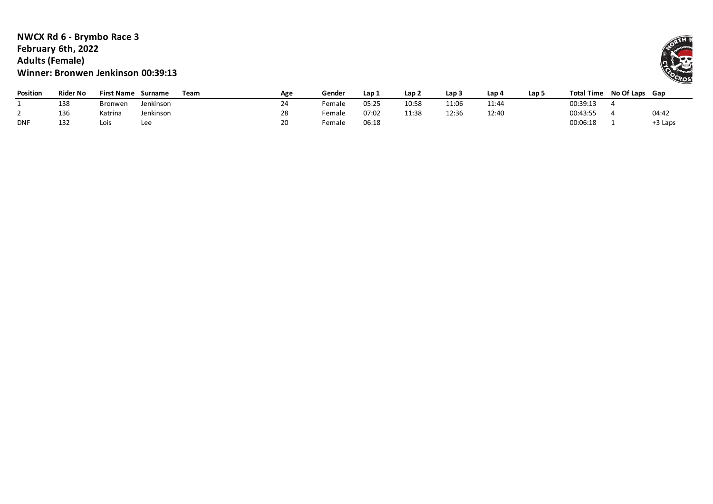### **NWCX Rd 6 - Brymbo Race 3 February 6th, 2022 Adults (Female) Winner: Bronwen Jenkinson 00:39:13**

| <b>Position</b> | <b>Rider No</b> | First Name     | Surname   | Team | Age | Gender | Lap 1 | Lap <sub>2</sub> | Lap 3 | Lap 4 | Lap <sub>5</sub> | <b>Total Time</b> | No Of Laps Gap |         |
|-----------------|-----------------|----------------|-----------|------|-----|--------|-------|------------------|-------|-------|------------------|-------------------|----------------|---------|
|                 | 138             | <b>Bronwen</b> | Jenkinson |      | 24  | ™emale | 05:25 | 10:58            | 11:06 | 11:44 |                  | 00:39:13          |                |         |
|                 | 136             | Katrina        | Jenkinson |      | 28  | Female | 07:02 | 11:38            | 12:36 | 12:40 |                  | 00:43:55          |                | 04:42   |
| <b>DNF</b>      | 132             | Lois           | Lee       |      | 20  | Female | J6:18 |                  |       |       |                  | 00:06:18          |                | +3 Laps |

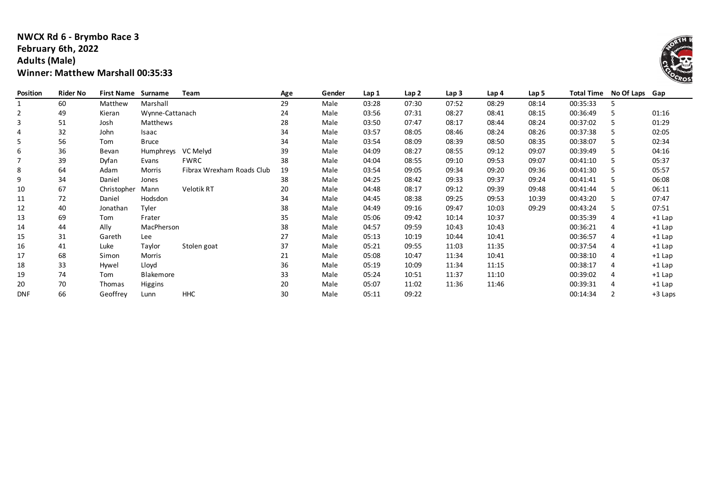### **NWCX Rd 6 - Brymbo Race 3 February 6th, 2022 Adults (Male) Winner: Matthew Marshall 00:35:33**

| Position       | <b>Rider No</b> | <b>First Name</b> | Surname          | Team                      | Age | Gender | Lap 1 | Lap2  | Lap 3 | Lap 4 | Lap 5 | <b>Total Time</b> | No Of Laps Gap |          |
|----------------|-----------------|-------------------|------------------|---------------------------|-----|--------|-------|-------|-------|-------|-------|-------------------|----------------|----------|
|                | 60              | Matthew           | Marshall         |                           | 29  | Male   | 03:28 | 07:30 | 07:52 | 08:29 | 08:14 | 00:35:33          | 5              |          |
| $\overline{2}$ | 49              | Kieran            | Wynne-Cattanach  |                           | 24  | Male   | 03:56 | 07:31 | 08:27 | 08:41 | 08:15 | 00:36:49          | 5              | 01:16    |
| 3              | 51              | Josh              | Matthews         |                           | 28  | Male   | 03:50 | 07:47 | 08:17 | 08:44 | 08:24 | 00:37:02          | 5              | 01:29    |
| 4              | 32              | John              | Isaac            |                           | 34  | Male   | 03:57 | 08:05 | 08:46 | 08:24 | 08:26 | 00:37:38          | 5              | 02:05    |
| 5              | 56              | Tom               | <b>Bruce</b>     |                           | 34  | Male   | 03:54 | 08:09 | 08:39 | 08:50 | 08:35 | 00:38:07          | 5              | 02:34    |
| 6              | 36              | Bevan             | Humphreys        | VC Melyd                  | 39  | Male   | 04:09 | 08:27 | 08:55 | 09:12 | 09:07 | 00:39:49          | 5              | 04:16    |
|                | 39              | Dyfan             | Evans            | <b>FWRC</b>               | 38  | Male   | 04:04 | 08:55 | 09:10 | 09:53 | 09:07 | 00:41:10          | 5              | 05:37    |
| 8              | 64              | Adam              | Morris           | Fibrax Wrexham Roads Club | 19  | Male   | 03:54 | 09:05 | 09:34 | 09:20 | 09:36 | 00:41:30          | 5              | 05:57    |
| 9              | 34              | Daniel            | Jones            |                           | 38  | Male   | 04:25 | 08:42 | 09:33 | 09:37 | 09:24 | 00:41:41          | 5              | 06:08    |
| 10             | 67              | Christopher       | Mann             | Velotik RT                | 20  | Male   | 04:48 | 08:17 | 09:12 | 09:39 | 09:48 | 00:41:44          | 5              | 06:11    |
| 11             | 72              | Daniel            | Hodsdon          |                           | 34  | Male   | 04:45 | 08:38 | 09:25 | 09:53 | 10:39 | 00:43:20          | 5              | 07:47    |
| 12             | 40              | Jonathan          | Tyler            |                           | 38  | Male   | 04:49 | 09:16 | 09:47 | 10:03 | 09:29 | 00:43:24          | .5             | 07:51    |
| 13             | 69              | Tom               | Frater           |                           | 35  | Male   | 05:06 | 09:42 | 10:14 | 10:37 |       | 00:35:39          | 4              | $+1$ Lap |
| 14             | 44              | Ally              | MacPherson       |                           | 38  | Male   | 04:57 | 09:59 | 10:43 | 10:43 |       | 00:36:21          | 4              | $+1$ Lap |
| 15             | 31              | Gareth            | Lee              |                           | 27  | Male   | 05:13 | 10:19 | 10:44 | 10:41 |       | 00:36:57          | 4              | $+1$ Lap |
| 16             | 41              | Luke              | Taylor           | Stolen goat               | 37  | Male   | 05:21 | 09:55 | 11:03 | 11:35 |       | 00:37:54          | 4              | $+1$ Lap |
| 17             | 68              | Simon             | Morris           |                           | 21  | Male   | 05:08 | 10:47 | 11:34 | 10:41 |       | 00:38:10          | 4              | $+1$ Lap |
| 18             | 33              | Hywel             | Lloyd            |                           | 36  | Male   | 05:19 | 10:09 | 11:34 | 11:15 |       | 00:38:17          | 4              | $+1$ Lap |
| 19             | 74              | Tom               | <b>Blakemore</b> |                           | 33  | Male   | 05:24 | 10:51 | 11:37 | 11:10 |       | 00:39:02          | 4              | $+1$ Lap |
| 20             | 70              | Thomas            | Higgins          |                           | 20  | Male   | 05:07 | 11:02 | 11:36 | 11:46 |       | 00:39:31          | 4              | $+1$ Lap |
| <b>DNF</b>     | 66              | Geoffrey          | Lunn             | <b>HHC</b>                | 30  | Male   | 05:11 | 09:22 |       |       |       | 00:14:34          |                | +3 Laps  |

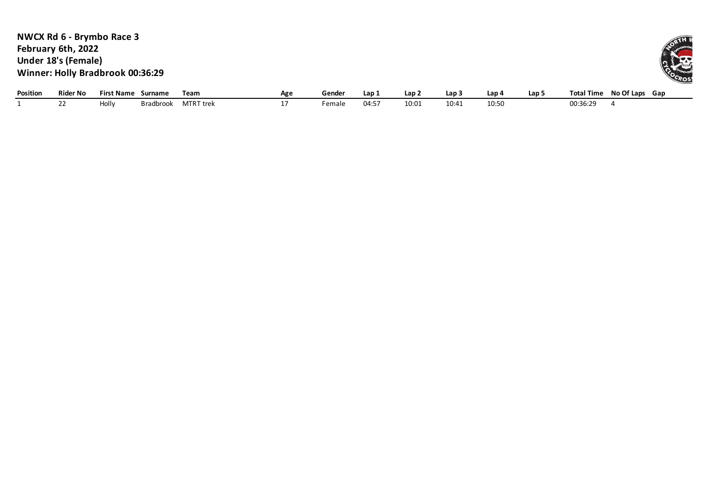**NWCX Rd 6 - Brymbo Race 3 February 6th, 2022 Under 18's (Female) Winner: Holly Bradbrook 00:36:29**

| Position | <b>Rider No</b> | First Name | Surname   | Team             | Age | Gende. | Lap i | Lap : | Lap   | Lap/  | Lap | <b>Total Time</b>        | No Of Laps<br>Gap |
|----------|-----------------|------------|-----------|------------------|-----|--------|-------|-------|-------|-------|-----|--------------------------|-------------------|
|          |                 | Hollv      | Bradbrook | <b>MTRT</b> trek |     | Femal  | 04:5  | 10:01 | 10:41 | 10:50 |     | $\sim$ $\sim$<br>00:36:2 |                   |

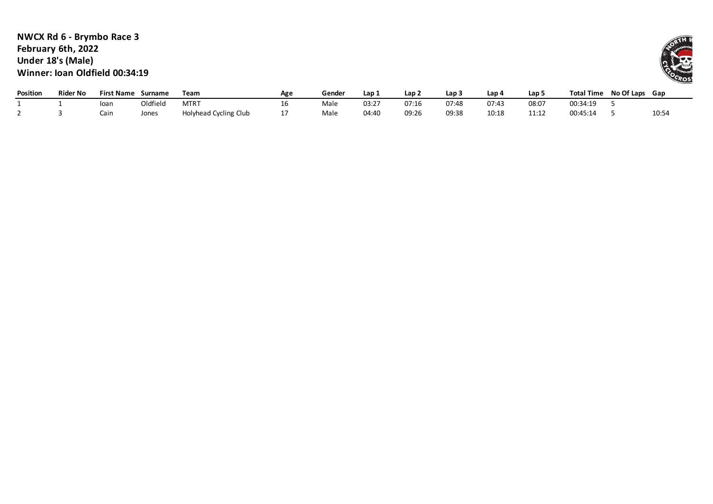### **NWCX Rd 6 - Brymbo Race 3 February 6th, 2022 Under 18's (Male) Winner: Ioan Oldfield 00:34:19**

| <b>Position</b> | <b>Rider No</b> | <b>First Name</b> | <b>Surname</b> | Team                  | Age | Gender | Lap   | Lap 2 | Lap   | ، Lap | Lap!                | <b>Total Time</b> | No Of Laps | Gap   |
|-----------------|-----------------|-------------------|----------------|-----------------------|-----|--------|-------|-------|-------|-------|---------------------|-------------------|------------|-------|
|                 |                 | loan              | Oldfield       | <b>MTRT</b>           | ΤD  | Male   | 03:27 | 07:16 | 07:48 | 07:43 | 08:07               | 00:34:19          |            |       |
|                 |                 | Cain              | Jones          | Holyhead Cycling Club |     | Male   | 04:40 | 09:26 | 09:38 | 10:18 | 11.12<br>. <u>.</u> | 00:45:14          |            | 10:54 |

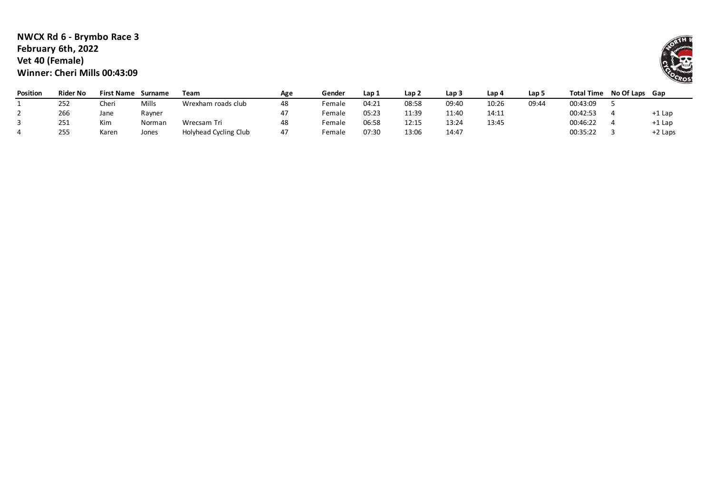### **NWCX Rd 6 - Brymbo Race 3 February 6th, 2022 Vet 40 (Female) Winner: Cheri Mills 00:43:09**

| <b>Position</b> | <b>Rider No</b> | <b>First Name</b> | Surname | Team                  | Age | Gender | Lap 1 | Lap 2 | Lap 3 | Lap 4 | Lap 5 | <b>Total Time</b> | No Of Laps Gap |         |
|-----------------|-----------------|-------------------|---------|-----------------------|-----|--------|-------|-------|-------|-------|-------|-------------------|----------------|---------|
|                 | 252             | Cheri             | Mills   | Wrexham roads club    | 48  | Female | 04:21 | 08:58 | 09:40 | 10:26 | 09:44 | 00:43:09          |                |         |
|                 | 266             | Jane              | Rayner  |                       |     | Female | 05:23 | 11:39 | 11:40 | 14:11 |       | 00:42:53          |                | +1 Lap  |
|                 | 251             | Kim               | Norman  | Wrecsam Tri           | 48  | Female | 06:58 | 12:15 | 13:24 | 13:45 |       | 00:46:22          |                | +1 Lap  |
|                 | 255             | Karen             | Jones   | Holyhead Cycling Club | 47  | Female | 07:30 | 13:06 | 14:47 |       |       | 00:35:22          |                | +2 Laps |

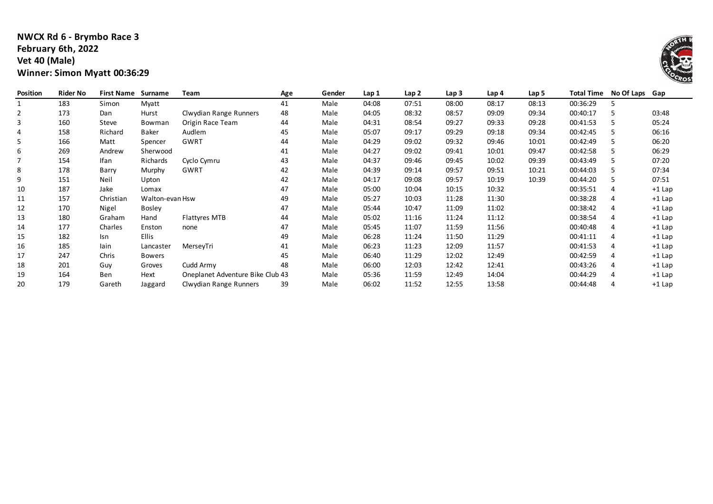# **NWCX Rd 6 - Brymbo Race 3 February 6th, 2022 Vet 40 (Male) Winner: Simon Myatt 00:36:29**

| Position       | <b>Rider No</b> | <b>First Name</b> | Surname         | Team                             | Age | Gender | Lap 1 | Lap <sub>2</sub> | Lap <sub>3</sub> | Lap 4 | Lap 5 | <b>Total Time</b> | No Of Laps Gap |          |
|----------------|-----------------|-------------------|-----------------|----------------------------------|-----|--------|-------|------------------|------------------|-------|-------|-------------------|----------------|----------|
|                | 183             | Simon             | Myatt           |                                  | 41  | Male   | 04:08 | 07:51            | 08:00            | 08:17 | 08:13 | 00:36:29          |                |          |
| $\overline{2}$ | 173             | Dan               | Hurst           | Clwydian Range Runners           | 48  | Male   | 04:05 | 08:32            | 08:57            | 09:09 | 09:34 | 00:40:17          |                | 03:48    |
| 3              | 160             | Steve             | Bowman          | Origin Race Team                 | 44  | Male   | 04:31 | 08:54            | 09:27            | 09:33 | 09:28 | 00:41:53          |                | 05:24    |
| 4              | 158             | Richard           | Baker           | Audlem                           | 45  | Male   | 05:07 | 09:17            | 09:29            | 09:18 | 09:34 | 00:42:45          |                | 06:16    |
| 5              | 166             | Matt              | Spencer         | <b>GWRT</b>                      | 44  | Male   | 04:29 | 09:02            | 09:32            | 09:46 | 10:01 | 00:42:49          |                | 06:20    |
| 6              | 269             | Andrew            | Sherwood        |                                  | 41  | Male   | 04:27 | 09:02            | 09:41            | 10:01 | 09:47 | 00:42:58          |                | 06:29    |
|                | 154             | <b>Ifan</b>       | Richards        | Cyclo Cymru                      | 43  | Male   | 04:37 | 09:46            | 09:45            | 10:02 | 09:39 | 00:43:49          |                | 07:20    |
| 8              | 178             | Barry             | Murphy          | GWRT                             | 42  | Male   | 04:39 | 09:14            | 09:57            | 09:51 | 10:21 | 00:44:03          | 5              | 07:34    |
| 9              | 151             | Neil              | Upton           |                                  | 42  | Male   | 04:17 | 09:08            | 09:57            | 10:19 | 10:39 | 00:44:20          |                | 07:51    |
| 10             | 187             | Jake              | Lomax           |                                  | 47  | Male   | 05:00 | 10:04            | 10:15            | 10:32 |       | 00:35:51          | 4              | $+1$ Lap |
| 11             | 157             | Christian         | Walton-evan Hsw |                                  | 49  | Male   | 05:27 | 10:03            | 11:28            | 11:30 |       | 00:38:28          | 4              | $+1$ Lap |
| 12             | 170             | Nigel             | <b>Bosley</b>   |                                  | 47  | Male   | 05:44 | 10:47            | 11:09            | 11:02 |       | 00:38:42          | 4              | $+1$ Lap |
| 13             | 180             | Graham            | Hand            | <b>Flattyres MTB</b>             | 44  | Male   | 05:02 | 11:16            | 11:24            | 11:12 |       | 00:38:54          | 4              | $+1$ Lap |
| 14             | 177             | Charles           | Enston          | none                             | 47  | Male   | 05:45 | 11:07            | 11:59            | 11:56 |       | 00:40:48          | 4              | $+1$ Lap |
| 15             | 182             | Isn               | <b>Ellis</b>    |                                  | 49  | Male   | 06:28 | 11:24            | 11:50            | 11:29 |       | 00:41:11          | 4              | $+1$ Lap |
| 16             | 185             | lain              | Lancaster       | MerseyTri                        | 41  | Male   | 06:23 | 11:23            | 12:09            | 11:57 |       | 00:41:53          | 4              | $+1$ Lap |
| 17             | 247             | Chris             | <b>Bowers</b>   |                                  | 45  | Male   | 06:40 | 11:29            | 12:02            | 12:49 |       | 00:42:59          | 4              | $+1$ Lap |
| 18             | 201             | Guy               | Groves          | Cudd Army                        | 48  | Male   | 06:00 | 12:03            | 12:42            | 12:41 |       | 00:43:26          | 4              | $+1$ Lap |
| 19             | 164             | Ben               | Hext            | Oneplanet Adventure Bike Club 43 |     | Male   | 05:36 | 11:59            | 12:49            | 14:04 |       | 00:44:29          | 4              | $+1$ Lap |
| 20             | 179             | Gareth            | Jaggard         | Clwydian Range Runners           | 39  | Male   | 06:02 | 11:52            | 12:55            | 13:58 |       | 00:44:48          | 4              | $+1$ Lap |

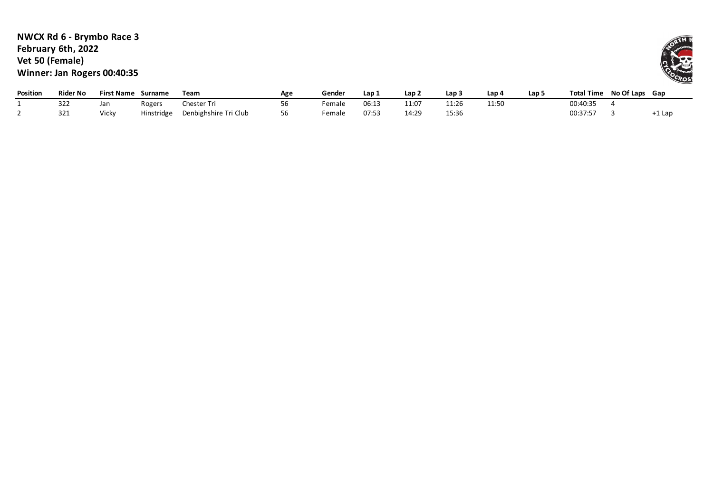# **NWCX Rd 6 - Brymbo Race 3 February 6th, 2022 Vet 50 (Female) Winner: Jan Rogers 00:40:35**

| <b>Position</b> | Rider No    | <b>First Name</b> | Surname    | Team                  | Age                            | Gende  | Lap   | Lap ∠         | Lap   | Lap (          | Lap ! | <b>Total Time</b> | No Of Laps Gap |       |
|-----------------|-------------|-------------------|------------|-----------------------|--------------------------------|--------|-------|---------------|-------|----------------|-------|-------------------|----------------|-------|
|                 | ววว<br>---  | Jan               | Rogers     | hester Tri            | $\overline{\phantom{0}}$<br>סכ | Female | 06:13 | 11.07<br>11.U | 11:26 | 11.51<br>⊥⊥.טי |       | 00:40:35          |                |       |
|                 | 221<br>34 T | Vicky             | Hinstridge | Denbighshire Tri Club | 56                             | Female | 07:53 | 14:29         | 15:36 |                |       | 00:37:57          |                | 1 Lap |

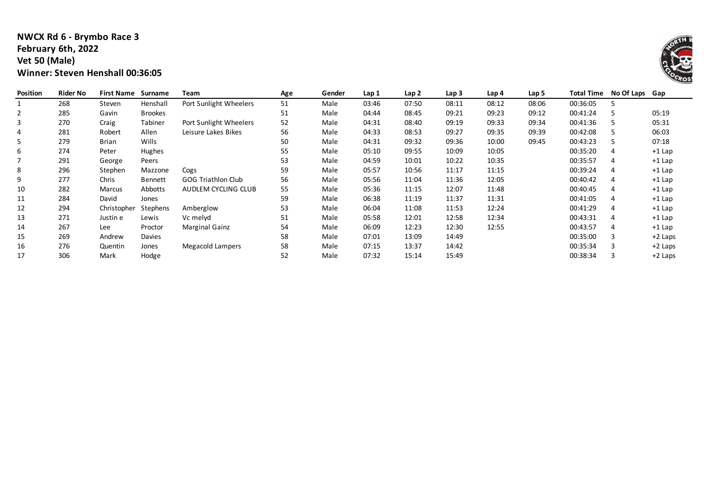### **NWCX Rd 6 - Brymbo Race 3 February 6th, 2022 Vet 50 (Male) Winner: Steven Henshall 00:36:05**

| Position | <b>Rider No</b> | <b>First Name</b> | Surname        | Team                      | Age | Gender | Lap 1 | Lap <sub>2</sub> | Lap <sub>3</sub> | Lap 4 | Lap 5 | <b>Total Time</b> | No Of Laps Gap |           |
|----------|-----------------|-------------------|----------------|---------------------------|-----|--------|-------|------------------|------------------|-------|-------|-------------------|----------------|-----------|
|          | 268             | Steven            | Henshall       | Port Sunlight Wheelers    | 51  | Male   | 03:46 | 07:50            | 08:11            | 08:12 | 08:06 | 00:36:05          |                |           |
| 2        | 285             | Gavin             | <b>Brookes</b> |                           | 51  | Male   | 04:44 | 08:45            | 09:21            | 09:23 | 09:12 | 00:41:24          |                | 05:19     |
| 3        | 270             | Craig             | Tabiner        | Port Sunlight Wheelers    | 52  | Male   | 04:31 | 08:40            | 09:19            | 09:33 | 09:34 | 00:41:36          |                | 05:31     |
| 4        | 281             | Robert            | Allen          | Leisure Lakes Bikes       | 56  | Male   | 04:33 | 08:53            | 09:27            | 09:35 | 09:39 | 00:42:08          |                | 06:03     |
| 5        | 279             | Brian             | Wills          |                           | 50  | Male   | 04:31 | 09:32            | 09:36            | 10:00 | 09:45 | 00:43:23          |                | 07:18     |
| 6        | 274             | Peter             | Hughes         |                           | 55  | Male   | 05:10 | 09:55            | 10:09            | 10:05 |       | 00:35:20          | 4              | $+1$ Lap  |
| 7        | 291             | George            | Peers          |                           | 53  | Male   | 04:59 | 10:01            | 10:22            | 10:35 |       | 00:35:57          | 4              | $+1$ Lap  |
| 8        | 296             | Stephen           | Mazzone        | Cogs                      | 59  | Male   | 05:57 | 10:56            | 11:17            | 11:15 |       | 00:39:24          | 4              | $+1$ Lap  |
| 9        | 277             | Chris             | <b>Bennett</b> | <b>GOG Triathlon Club</b> | 56  | Male   | 05:56 | 11:04            | 11:36            | 12:05 |       | 00:40:42          | 4              | $+1$ Lap  |
| 10       | 282             | Marcus            | Abbotts        | AUDLEM CYCLING CLUB       | 55  | Male   | 05:36 | 11:15            | 12:07            | 11:48 |       | 00:40:45          | 4              | $+1$ Lap  |
| 11       | 284             | David             | Jones          |                           | 59  | Male   | 06:38 | 11:19            | 11:37            | 11:31 |       | 00:41:05          | 4              | $+1$ Lap  |
| 12       | 294             | Christopher       | Stephens       | Amberglow                 | 53  | Male   | 06:04 | 11:08            | 11:53            | 12:24 |       | 00:41:29          | 4              | $+1$ Lap  |
| 13       | 271             | Justin e          | Lewis          | Vc melyd                  | 51  | Male   | 05:58 | 12:01            | 12:58            | 12:34 |       | 00:43:31          | 4              | $+1$ Lap  |
| 14       | 267             | Lee               | Proctor        | Marginal Gainz            | 54  | Male   | 06:09 | 12:23            | 12:30            | 12:55 |       | 00:43:57          | 4              | $+1$ Lap  |
| 15       | 269             | Andrew            | Davies         |                           | 58  | Male   | 07:01 | 13:09            | 14:49            |       |       | 00:35:00          | 3              | $+2$ Laps |
| 16       | 276             | Quentin           | Jones          | Megacold Lampers          | 58  | Male   | 07:15 | 13:37            | 14:42            |       |       | 00:35:34          | 3              | $+2$ Laps |
| 17       | 306             | Mark              | Hodge          |                           | 52  | Male   | 07:32 | 15:14            | 15:49            |       |       | 00:38:34          |                | $+2$ Laps |